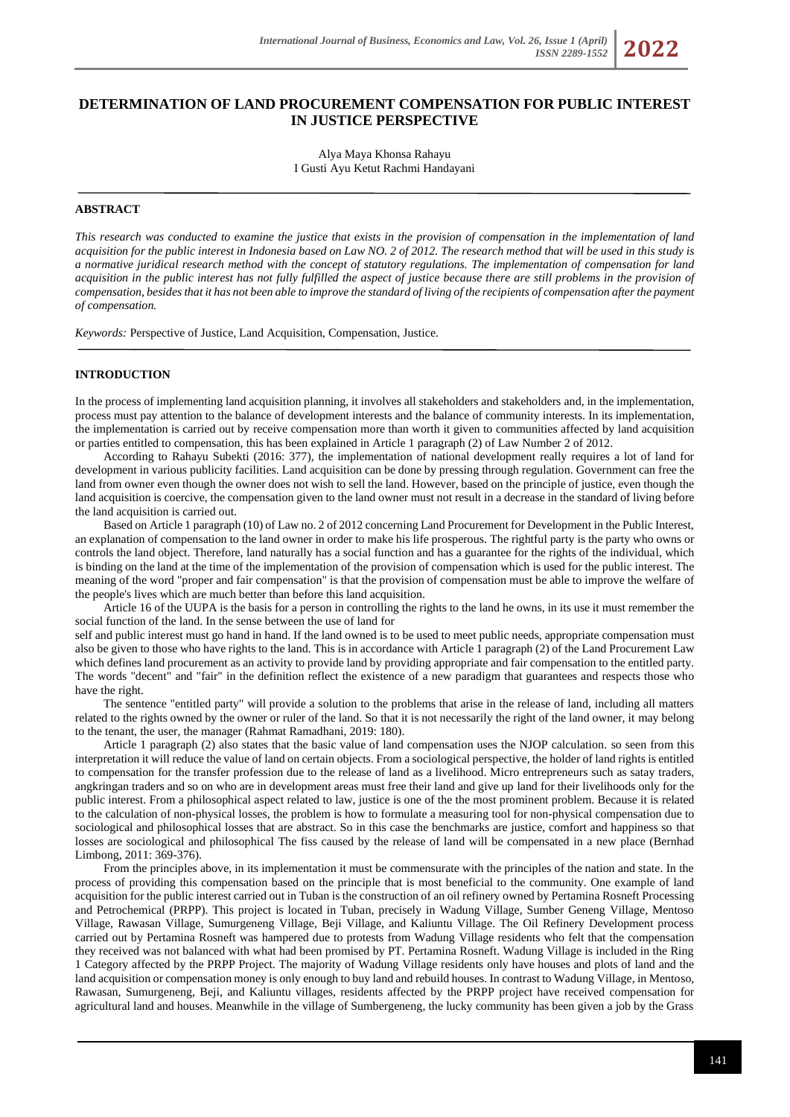## **DETERMINATION OF LAND PROCUREMENT COMPENSATION FOR PUBLIC INTEREST IN JUSTICE PERSPECTIVE**

Alya Maya Khonsa Rahayu I Gusti Ayu Ketut Rachmi Handayani

## **ABSTRACT**

*This research was conducted to examine the justice that exists in the provision of compensation in the implementation of land acquisition for the public interest in Indonesia based on Law NO. 2 of 2012. The research method that will be used in this study is a normative juridical research method with the concept of statutory regulations. The implementation of compensation for land acquisition in the public interest has not fully fulfilled the aspect of justice because there are still problems in the provision of compensation, besides that it has not been able to improve the standard of living of the recipients of compensation after the payment of compensation.*

*Keywords:* Perspective of Justice, Land Acquisition, Compensation, Justice.

# **INTRODUCTION**

In the process of implementing land acquisition planning, it involves all stakeholders and stakeholders and, in the implementation, process must pay attention to the balance of development interests and the balance of community interests. In its implementation, the implementation is carried out by receive compensation more than worth it given to communities affected by land acquisition or parties entitled to compensation, this has been explained in Article 1 paragraph (2) of Law Number 2 of 2012.

According to Rahayu Subekti (2016: 377), the implementation of national development really requires a lot of land for development in various publicity facilities. Land acquisition can be done by pressing through regulation. Government can free the land from owner even though the owner does not wish to sell the land. However, based on the principle of justice, even though the land acquisition is coercive, the compensation given to the land owner must not result in a decrease in the standard of living before the land acquisition is carried out.

Based on Article 1 paragraph (10) of Law no. 2 of 2012 concerning Land Procurement for Development in the Public Interest, an explanation of compensation to the land owner in order to make his life prosperous. The rightful party is the party who owns or controls the land object. Therefore, land naturally has a social function and has a guarantee for the rights of the individual, which is binding on the land at the time of the implementation of the provision of compensation which is used for the public interest. The meaning of the word "proper and fair compensation" is that the provision of compensation must be able to improve the welfare of the people's lives which are much better than before this land acquisition.

Article 16 of the UUPA is the basis for a person in controlling the rights to the land he owns, in its use it must remember the social function of the land. In the sense between the use of land for

self and public interest must go hand in hand. If the land owned is to be used to meet public needs, appropriate compensation must also be given to those who have rights to the land. This is in accordance with Article 1 paragraph (2) of the Land Procurement Law which defines land procurement as an activity to provide land by providing appropriate and fair compensation to the entitled party. The words "decent" and "fair" in the definition reflect the existence of a new paradigm that guarantees and respects those who have the right.

The sentence "entitled party" will provide a solution to the problems that arise in the release of land, including all matters related to the rights owned by the owner or ruler of the land. So that it is not necessarily the right of the land owner, it may belong to the tenant, the user, the manager (Rahmat Ramadhani, 2019: 180).

Article 1 paragraph (2) also states that the basic value of land compensation uses the NJOP calculation. so seen from this interpretation it will reduce the value of land on certain objects. From a sociological perspective, the holder of land rights is entitled to compensation for the transfer profession due to the release of land as a livelihood. Micro entrepreneurs such as satay traders, angkringan traders and so on who are in development areas must free their land and give up land for their livelihoods only for the public interest. From a philosophical aspect related to law, justice is one of the the most prominent problem. Because it is related to the calculation of non-physical losses, the problem is how to formulate a measuring tool for non-physical compensation due to sociological and philosophical losses that are abstract. So in this case the benchmarks are justice, comfort and happiness so that losses are sociological and philosophical The fiss caused by the release of land will be compensated in a new place (Bernhad Limbong, 2011: 369-376).

From the principles above, in its implementation it must be commensurate with the principles of the nation and state. In the process of providing this compensation based on the principle that is most beneficial to the community. One example of land acquisition for the public interest carried out in Tuban is the construction of an oil refinery owned by Pertamina Rosneft Processing and Petrochemical (PRPP). This project is located in Tuban, precisely in Wadung Village, Sumber Geneng Village, Mentoso Village, Rawasan Village, Sumurgeneng Village, Beji Village, and Kaliuntu Village. The Oil Refinery Development process carried out by Pertamina Rosneft was hampered due to protests from Wadung Village residents who felt that the compensation they received was not balanced with what had been promised by PT. Pertamina Rosneft. Wadung Village is included in the Ring 1 Category affected by the PRPP Project. The majority of Wadung Village residents only have houses and plots of land and the land acquisition or compensation money is only enough to buy land and rebuild houses. In contrast to Wadung Village, in Mentoso, Rawasan, Sumurgeneng, Beji, and Kaliuntu villages, residents affected by the PRPP project have received compensation for agricultural land and houses. Meanwhile in the village of Sumbergeneng, the lucky community has been given a job by the Grass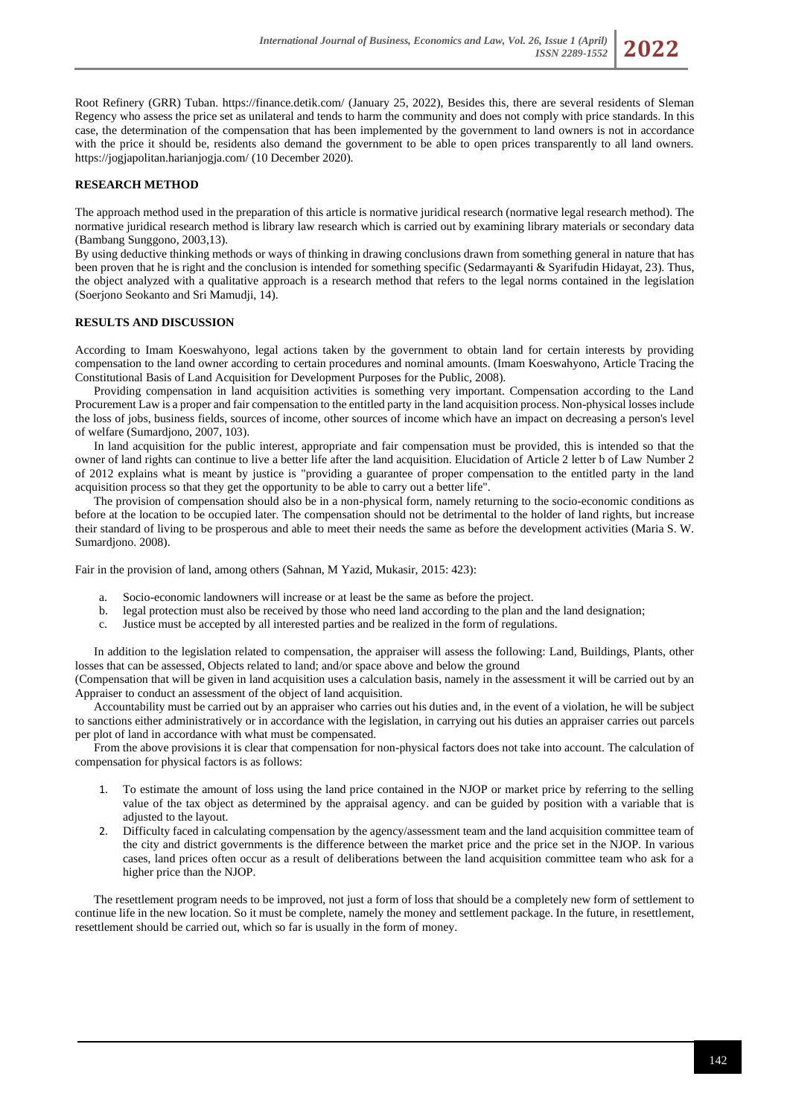

Root Refinery (GRR) Tuban. https://finance.detik.com/ (January 25, 2022), Besides this, there are several residents of Sleman Regency who assess the price set as unilateral and tends to harm the community and does not comply with price standards. In this case, the determination of the compensation that has been implemented by the government to land owners is not in accordance with the price it should be, residents also demand the government to be able to open prices transparently to all land owners. https://jogjapolitan.harianjogja.com/ (10 December 2020).

## **RESEARCH METHOD**

The approach method used in the preparation of this article is normative juridical research (normative legal research method). The normative juridical research method is library law research which is carried out by examining library materials or secondary data (Bambang Sunggono, 2003,13).

By using deductive thinking methods or ways of thinking in drawing conclusions drawn from something general in nature that has been proven that he is right and the conclusion is intended for something specific (Sedarmayanti & Syarifudin Hidayat, 23). Thus, the object analyzed with a qualitative approach is a research method that refers to the legal norms contained in the legislation (Soerjono Seokanto and Sri Mamudji, 14).

#### **RESULTS AND DISCUSSION**

According to Imam Koeswahyono, legal actions taken by the government to obtain land for certain interests by providing compensation to the land owner according to certain procedures and nominal amounts. (Imam Koeswahyono, Article Tracing the Constitutional Basis of Land Acquisition for Development Purposes for the Public, 2008).

Providing compensation in land acquisition activities is something very important. Compensation according to the Land Procurement Law is a proper and fair compensation to the entitled party in the land acquisition process. Non-physical losses include the loss of jobs, business fields, sources of income, other sources of income which have an impact on decreasing a person's level of welfare (Sumardjono, 2007, 103).

In land acquisition for the public interest, appropriate and fair compensation must be provided, this is intended so that the owner of land rights can continue to live a better life after the land acquisition. Elucidation of Article 2 letter b of Law Number 2 of 2012 explains what is meant by justice is "providing a guarantee of proper compensation to the entitled party in the land acquisition process so that they get the opportunity to be able to carry out a better life".

The provision of compensation should also be in a non-physical form, namely returning to the socio-economic conditions as before at the location to be occupied later. The compensation should not be detrimental to the holder of land rights, but increase their standard of living to be prosperous and able to meet their needs the same as before the development activities (Maria S. W. Sumardjono. 2008).

Fair in the provision of land, among others (Sahnan, M Yazid, Mukasir, 2015: 423):

- a. Socio-economic landowners will increase or at least be the same as before the project.
- b. legal protection must also be received by those who need land according to the plan and the land designation;
- c. Justice must be accepted by all interested parties and be realized in the form of regulations.

In addition to the legislation related to compensation, the appraiser will assess the following: Land, Buildings, Plants, other losses that can be assessed, Objects related to land; and/or space above and below the ground

(Compensation that will be given in land acquisition uses a calculation basis, namely in the assessment it will be carried out by an Appraiser to conduct an assessment of the object of land acquisition.

Accountability must be carried out by an appraiser who carries out his duties and, in the event of a violation, he will be subject to sanctions either administratively or in accordance with the legislation, in carrying out his duties an appraiser carries out parcels per plot of land in accordance with what must be compensated.

From the above provisions it is clear that compensation for non-physical factors does not take into account. The calculation of compensation for physical factors is as follows:

- 1. To estimate the amount of loss using the land price contained in the NJOP or market price by referring to the selling value of the tax object as determined by the appraisal agency. and can be guided by position with a variable that is adjusted to the layout.
- 2. Difficulty faced in calculating compensation by the agency/assessment team and the land acquisition committee team of the city and district governments is the difference between the market price and the price set in the NJOP. In various cases, land prices often occur as a result of deliberations between the land acquisition committee team who ask for a higher price than the NJOP.

The resettlement program needs to be improved, not just a form of loss that should be a completely new form of settlement to continue life in the new location. So it must be complete, namely the money and settlement package. In the future, in resettlement, resettlement should be carried out, which so far is usually in the form of money.